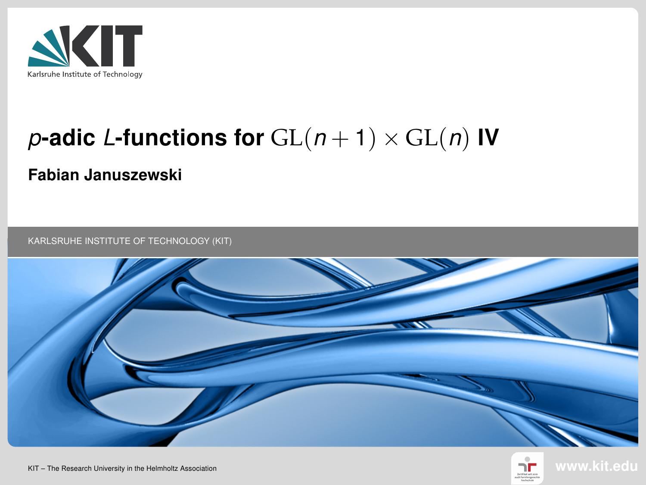

# p-adic L-functions for  $GL(n + 1) \times GL(n)$  IV

#### Fabian Januszewski

KARLSRUHE INSTITUTE OF TECHNOLOGY (KIT)





KIT – The Research University in the Helmholtz Association www.kit.edu.com/www.kit.edu.com/www.kit.edu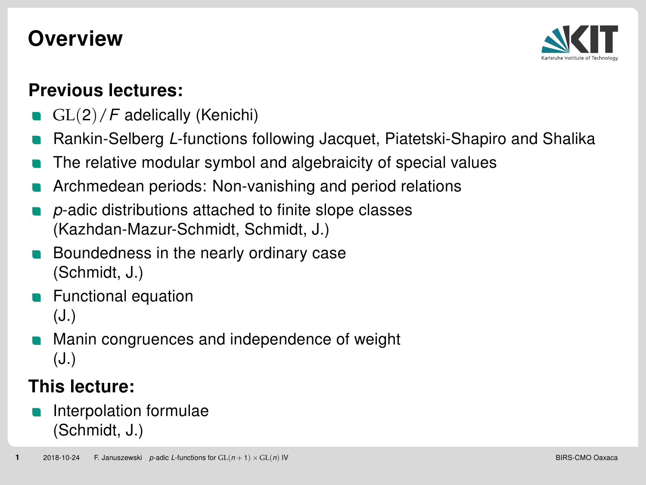# **Overview**



#### Previous lectures:

- GL(2)/F adelically (Kenichi)
- Rankin-Selberg L-functions following Jacquet, Piatetski-Shapiro and Shalika
- The relative modular symbol and algebraicity of special values
- Archmedean periods: Non-vanishing and period relations
- p-adic distributions attached to finite slope classes (Kazhdan-Mazur-Schmidt, Schmidt, J.)
- Boundedness in the nearly ordinary case (Schmidt, J.)
- Functional equation (J.)
- Manin congruences and independence of weight (J.)

#### This lecture:

Interpolation formulae (Schmidt, J.)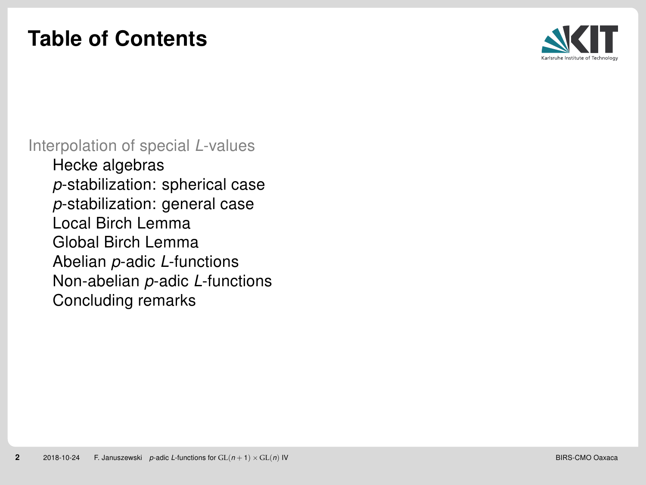# <span id="page-2-0"></span>Table of Contents



[Interpolation of special](#page-2-0) L-values

[Hecke algebras](#page-3-0) p[-stabilization: spherical case](#page-5-0) p[-stabilization: general case](#page-7-0) [Local Birch Lemma](#page-9-0) [Global Birch Lemma](#page-16-0) Abelian p-adic L[-functions](#page-18-0) [Non-abelian](#page-19-0) p-adic L-functions [Concluding remarks](#page-20-0)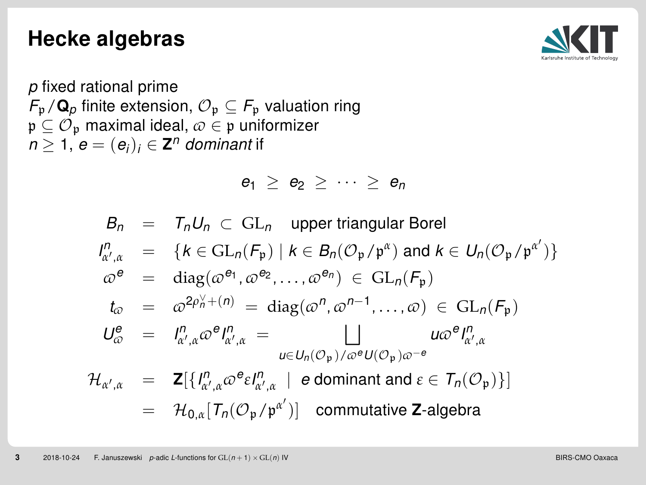#### <span id="page-3-0"></span>Hecke algebras



p fixed rational prime  $F_p/\mathbf{Q}_p$  finite extension,  $\mathcal{O}_p \subseteq F_p$  valuation ring  $\mathfrak{p} \subseteq \mathcal{O}_{\mathfrak{p}}$  maximal ideal,  $\varpi \in \mathfrak{p}$  uniformizer  $n\geq 1,$   $e=(e_i)_i\in {\bold Z}^n$  dominant if

$$
e_1 \geq e_2 \geq \cdots \geq e_n
$$

$$
B_n = T_n U_n \subset GL_n \quad \text{upper triangular Borel}
$$
\n
$$
I_{\alpha',\alpha}^n = \{k \in GL_n(F_{\mathfrak{p}}) \mid k \in B_n(\mathcal{O}_{\mathfrak{p}}/\mathfrak{p}^{\alpha}) \text{ and } k \in U_n(\mathcal{O}_{\mathfrak{p}}/\mathfrak{p}^{\alpha'})\}
$$
\n
$$
\omega^e = \text{diag}(\omega^{e_1}, \omega^{e_2}, \dots, \omega^{e_n}) \in GL_n(F_{\mathfrak{p}})
$$
\n
$$
t_{\omega} = \omega^{2\rho_n^{\vee} + (n)} = \text{diag}(\omega^n, \omega^{n-1}, \dots, \omega) \in GL_n(F_{\mathfrak{p}})
$$
\n
$$
U_{\omega}^e = I_{\alpha',\alpha}^n \omega^e I_{\alpha',\alpha}^n = \bigsqcup_{u \in U_n(\mathcal{O}_{\mathfrak{p}})/\omega^e U(\mathcal{O}_{\mathfrak{p}})/\omega^{-e}}
$$
\n
$$
\mathcal{H}_{\alpha',\alpha} = \mathbf{Z}[\{I_{\alpha',\alpha}^n \omega^{e_i} I_{\alpha',\alpha}^n \mid e \text{ dominant and } \varepsilon \in \mathcal{T}_n(\mathcal{O}_{\mathfrak{p}})\}]
$$
\n
$$
= \mathcal{H}_{0,\alpha}[\mathcal{T}_n(\mathcal{O}_{\mathfrak{p}}/\mathfrak{p}^{\alpha'})]
$$
\ncommutative **Z**-algebra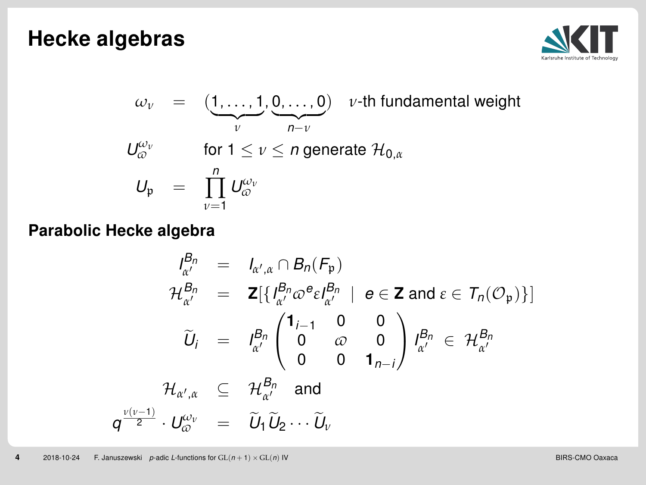#### Hecke algebras



$$
\omega_{\nu} = (\underbrace{1, \ldots, 1}_{\nu}, \underbrace{0, \ldots, 0}_{n-\nu}) \quad \nu\text{-th fundamental weight}
$$
\n
$$
U_{\varpi}^{\omega_{\nu}}
$$
\n
$$
\text{for } 1 \le \nu \le n \text{ generate } \mathcal{H}_{0,\alpha}
$$
\n
$$
U_{\mathfrak{p}} = \prod_{\nu=1}^{n} U_{\varpi}^{\omega_{\nu}}
$$

#### Parabolic Hecke algebra

$$
I_{\alpha'}^{B_n} = I_{\alpha',\alpha} \cap B_n(F_p)
$$
  
\n
$$
\mathcal{H}_{\alpha'}^{B_n} = \mathbf{Z}[\{I_{\alpha'}^{B_n} \omega^e \varepsilon I_{\alpha'}^{B_n} \mid e \in \mathbf{Z} \text{ and } \varepsilon \in \mathcal{T}_n(\mathcal{O}_p)\}]
$$
  
\n
$$
\widetilde{U}_i = I_{\alpha'}^{B_n} \begin{pmatrix} \mathbf{1}_{i-1} & 0 & 0 \\ 0 & \omega & 0 \\ 0 & 0 & \mathbf{1}_{n-i} \end{pmatrix} I_{\alpha'}^{B_n} \in \mathcal{H}_{\alpha'}^{B_n}
$$
  
\n
$$
\mathcal{H}_{\alpha',\alpha} \subseteq \mathcal{H}_{\alpha'}^{B_n} \text{ and}
$$
  
\n
$$
q^{\frac{v(v-1)}{2}} \cdot U_{\omega}^{\omega_v} = \widetilde{U}_1 \widetilde{U}_2 \cdots \widetilde{U}_v
$$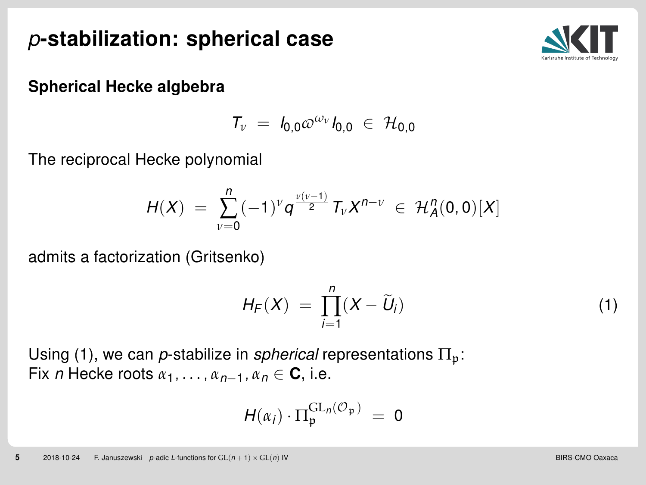# <span id="page-5-0"></span>p-stabilization: spherical case



#### Spherical Hecke algbebra

$$
T_{\nu} = I_{0,0} \omega^{\omega_{\nu}} I_{0,0} \in \mathcal{H}_{0,0}
$$

The reciprocal Hecke polynomial

$$
H(X) = \sum_{\nu=0}^{n} (-1)^{\nu} q^{\frac{\nu(\nu-1)}{2}} T_{\nu} X^{n-\nu} \in \mathcal{H}_A^n(0,0)[X]
$$

admits a factorization (Gritsenko)

<span id="page-5-1"></span>
$$
H_F(X) = \prod_{i=1}^n (X - \widetilde{U}_i)
$$
\n(1)

Using [\(1\)](#page-5-1), we can *p*-stabilize in *spherical* representations  $\Pi_n$ : Fix *n* Hecke roots  $\alpha_1, \ldots, \alpha_{n-1}, \alpha_n \in \mathbb{C}$ , i.e.

$$
H(\alpha_i) \cdot \Pi_{\mathfrak{p}}^{\mathrm{GL}_n(\mathcal{O}_{\mathfrak{p}})} = 0
$$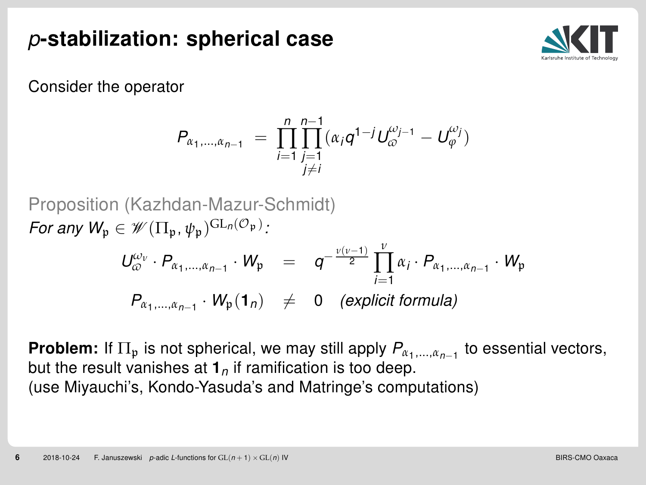# p-stabilization: spherical case



Consider the operator

$$
P_{\alpha_1,\dots,\alpha_{n-1}} = \prod_{\substack{j=1\\j\neq i}}^{n} \prod_{j=1}^{n-1} (\alpha_j q^{1-j} U_{\varpi}^{\omega_{j-1}} - U_{\varphi}^{\omega_j})
$$

Proposition (Kazhdan-Mazur-Schmidt) For any  $W_{\mathfrak{p}} \in \mathscr{W}(\Pi_{\mathfrak{p}}, \psi_{\mathfrak{p}})^{\mathrm{GL}_n(\mathcal{O}_{\mathfrak{p}})}$ : *ν*

$$
U_{\varpi}^{\omega_v} \cdot P_{\alpha_1, \dots, \alpha_{n-1}} \cdot W_{\mathfrak{p}} = q^{-\frac{\nu(v-1)}{2}} \prod_{i=1}^v \alpha_i \cdot P_{\alpha_1, \dots, \alpha_{n-1}} \cdot W_{\mathfrak{p}}
$$
  

$$
P_{\alpha_1, \dots, \alpha_{n-1}} \cdot W_{\mathfrak{p}}(1_n) \neq 0 \quad \text{(explicit formula)}
$$

**Problem:** If  $\Pi_{\mathfrak{p}}$  is not spherical, we may still apply  $P_{\alpha_1, \dots, \alpha_{n-1}}$  to essential vectors, but the result vanishes at  $1<sub>n</sub>$  if ramification is too deep. (use Miyauchi's, Kondo-Yasuda's and Matringe's computations)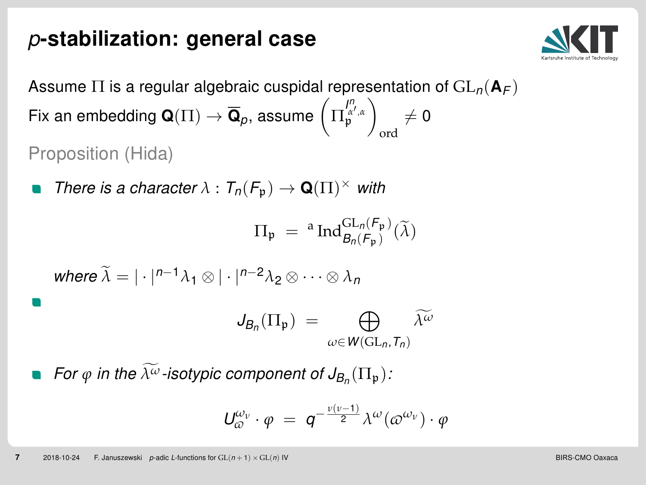## <span id="page-7-0"></span>p-stabilization: general case



Assume  $\Pi$  is a regular algebraic cuspidal representation of  $GL_n(\mathbf{A}_F)$ Fix an embedding  $\mathbf{Q}(\Pi) \to \overline{\mathbf{Q}}_p$ , assume  $\left(\Pi_{\mathfrak{p}}^{l^\prime,a}_{\mathfrak{p}^\prime,a}\right)$ ord  $\neq$  0 Proposition (Hida)

There is a character  $\lambda: T_n(\mathcal{F}_{\mathfrak{p}}) \to \mathbf{Q}(\Pi)^{\times}$  with

$$
\Pi_{\mathfrak{p}} = \, ^a \text{Ind}_{\mathcal{B}_n(\mathcal{F}_{\mathfrak{p}})}^{\text{GL}_n(\mathcal{F}_{\mathfrak{p}})}(\widetilde{\lambda})
$$

where 
$$
\tilde{\lambda} = |\cdot|^{n-1} \lambda_1 \otimes |\cdot|^{n-2} \lambda_2 \otimes \cdots \otimes \lambda_n
$$

$$
J_{B_n}(\Pi_{\mathfrak{p}}) = \bigoplus_{\omega \in W(\operatorname{GL}_n,T_n)} \widetilde{\lambda^{\omega}}
$$

For  $\varphi$  in the  $\lambda^\omega$ -isotypic component of  $J_{\mathcal{B}_n}(\Pi_{\mathfrak{p}})$ :

$$
U_{\varpi}^{\omega_{\nu}} \cdot \varphi = q^{-\frac{\nu(\nu-1)}{2}} \lambda^{\omega}(\varpi^{\omega_{\nu}}) \cdot \varphi
$$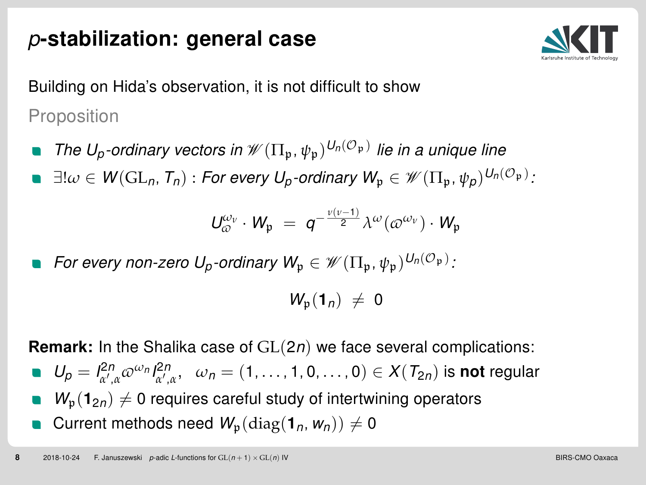# p-stabilization: general case



Building on Hida's observation, it is not difficult to show Proposition

- The U<sub>p</sub>-ordinary vectors in  $\mathscr{W}(\Pi_{\mathfrak{p}}, \psi_{\mathfrak{p}})^{U_n(\mathcal{O}_{\mathfrak{p}})}$  lie in a unique line
- $\exists ! \omega \in \mathsf{W}(\mathrm{GL}_n,\mathcal{T}_n)$  : For every  $\mathsf{U}_p$ -ordinary  $\mathsf{W}_\mathfrak{p} \in \mathscr{W}(\Pi_\mathfrak{p},\psi_\mathcal{p})^{\mathsf{U}_n(\mathcal{O}_\mathfrak{p})}$  :

$$
\textit{U}^{\omega_{\nu}}_{\varpi}\cdot\textit{W}_{\mathfrak{p}}\;=\;q^{-\frac{\nu(\nu-1)}{2}}\lambda^{\omega}(\varpi^{\omega_{\nu}})\cdot\textit{W}_{\mathfrak{p}}
$$

For every non-zero  $U_p$ -ordinary  $W_\mathfrak{p} \in \mathscr{W}(\Pi_\mathfrak{p},\psi_\mathfrak{p})^{U_n(\mathcal{O}_\mathfrak{p})}$ :

 $W_n(1_n) \neq 0$ 

**Remark:** In the Shalika case of  $GL(2n)$  we face several complications:

- $U_p = I^{2n}_{\alpha',\alpha} \varpi^{\omega_n} I^{2n}_{\alpha',\alpha}, \quad \omega_n = (1,\ldots,1,0,\ldots,0) \in X(T_{2n})$  is **not** regular
- $W_p(1_{2n}) \neq 0$  requires careful study of intertwining operators
- Current methods need  $W_p(\text{diag}(1_n, w_n)) \neq 0$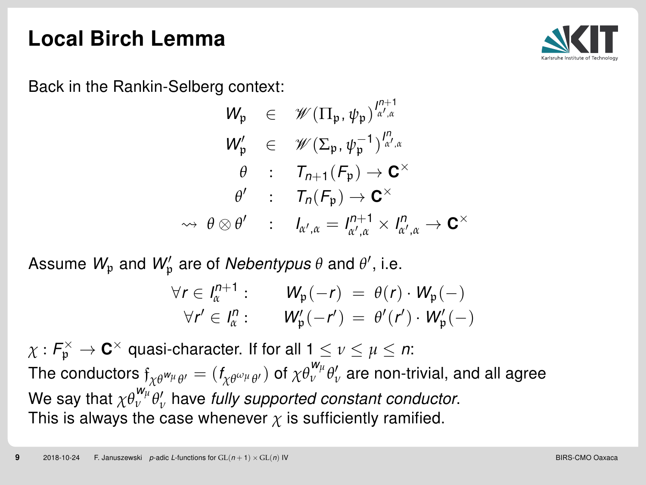

<span id="page-9-0"></span>Back in the Rankin-Selberg context:

$$
\begin{array}{rcl}\nW_{\mathfrak{p}} & \in & \mathscr{W}(\Pi_{\mathfrak{p}}, \psi_{\mathfrak{p}})^{\frac{\rho+1}{\alpha', \alpha}} \\
W_{\mathfrak{p}}' & \in & \mathscr{W}(\Sigma_{\mathfrak{p}}, \psi_{\mathfrak{p}}^{-1})^{\frac{\rho}{\alpha', \alpha}} \\
\theta & \colon & \mathcal{T}_{n+1}(\mathcal{F}_{\mathfrak{p}}) \to \mathbf{C}^{\times} \\
\theta' & \colon & \mathcal{T}_n(\mathcal{F}_{\mathfrak{p}}) \to \mathbf{C}^{\times} \\
\leadsto & \theta \otimes \theta' & \colon & l_{\alpha', \alpha} = l_{\alpha', \alpha}^{n+1} \times l_{\alpha', \alpha}^{n} \to \mathbf{C}^{\times}\n\end{array}
$$

Assume  $W_\mathfrak{p}$  and  $W'_\mathfrak{p}$  are of *Nebentypus*  $\theta$  and  $\theta'$ , i.e.

$$
\forall r \in I_{\alpha}^{n+1} : \qquad W_{\mathfrak{p}}(-r) = \theta(r) \cdot W_{\mathfrak{p}}(-)
$$
  

$$
\forall r' \in I_{\alpha}^{n} : \qquad W_{\mathfrak{p}}'(-r') = \theta'(r') \cdot W_{\mathfrak{p}}'(-)
$$

 $\chi: \mathsf{F}^{\times}_{\mathfrak{p}} \to \mathbf{C}^{\times}$  quasi-character. If for all 1  $\leq$   $\nu \leq \mu \leq n$ : The conductors  $f_{\chi\theta}$ w $_{\mu}$   $_{\theta'} = (f_{\chi\theta}$ ω $_{\mu}$  $_{\theta'}$  of  $\chi\theta$ <sup>w $_{\mu}$ </sup>  $\theta'_\nu$  are non-trivial, and all agree We say that  $\chi \theta_{\nu}^{w_{\mu}} \theta_{\nu}'$  have fully supported constant conductor. This is always the case whenever  $\chi$  is sufficiently ramified.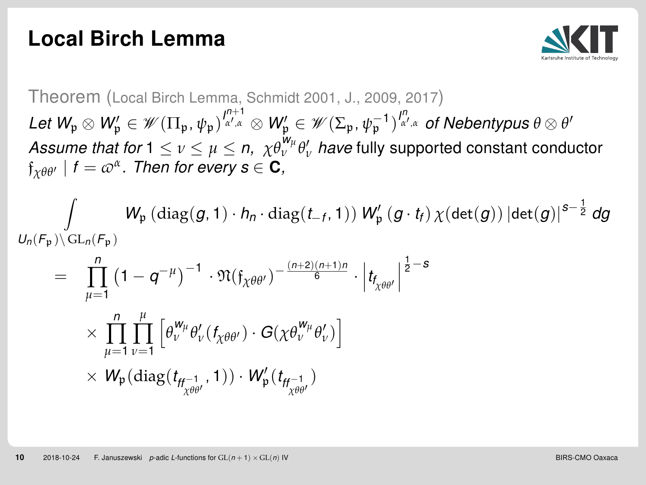

Theorem (Local Birch Lemma, Schmidt 2001, J., 2009, 2017)  $\mathcal{L}$ et  $\mathcal{W}_\mathfrak{p}\otimes \mathcal{W}'_\mathfrak{p}\in \mathscr{W}(\Pi_\mathfrak{p},\psi_\mathfrak{p})^{\frac{p+1}{\alpha',\alpha}}\otimes \mathcal{W}'_\mathfrak{p}\in \mathscr{W}(\Sigma_\mathfrak{p},\psi_\mathfrak{p}^{-1})^{\frac{p}{\alpha',\alpha}}$  of Nebentypus  $\theta\otimes \theta'$ Assume that for  $1 \leq \nu \leq \mu \leq n$ ,  $\chi \theta_{\nu}^{\mathsf{w}_{\mu}} \theta_{\nu}^{\prime}$  have fully supported constant conductor  $\mathfrak{f}_{\chi\theta\theta'}$  |  $f=\varpi^{\alpha}$ . Then for every  $\mathbf{s}\in\mathbf{C}$ ,

$$
\int\limits_{U_n(F_{\mathfrak{p}})\backslash\mathrm{GL}_n(F_{\mathfrak{p}})}W_{\mathfrak{p}}\left(\mathrm{diag}(g,1)\cdot h_n\cdot\mathrm{diag}(t_{-f},1)\right)W'_{\mathfrak{p}}\left(g\cdot t_f\right)\chi(\mathrm{det}(g))\left|\mathrm{det}(g)\right|^{s-\frac{1}{2}}dg
$$

$$
= \prod_{\mu=1}^{n} (1 - q^{-\mu})^{-1} \cdot \mathfrak{N}(\mathfrak{f}_{\chi\theta\theta'})^{-\frac{(n+2)(n+1)n}{6}} \cdot \left| t_{\mathfrak{f}_{\chi\theta\theta'}} \right|^{2-s}
$$

$$
\times \prod_{\mu=1}^{n} \prod_{\nu=1}^{\mu} \left[ \theta_{\nu}^{W_{\mu}} \theta_{\nu}'(f_{\chi\theta\theta'}) \cdot G(\chi\theta_{\nu}^{W_{\mu}} \theta_{\nu}') \right]
$$

$$
\times W_{\mathfrak{p}}(\text{diag}(t_{\mathfrak{f}_{\chi\theta\theta'}^{-1}}, 1)) \cdot W_{\mathfrak{p}}'(t_{\mathfrak{f}_{\chi\theta\theta'}^{-1}})
$$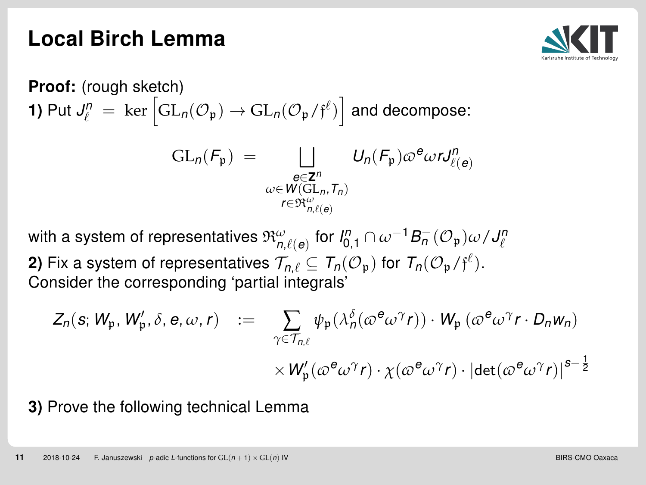

**Proof:** (rough sketch)  
\n**1)** Put 
$$
J_{\ell}^{n} = \text{ker} \left[ GL_{n}(\mathcal{O}_{\mathfrak{p}}) \rightarrow GL_{n}(\mathcal{O}_{\mathfrak{p}}/\mathfrak{f}^{\ell}) \right]
$$
 and decompose:  
\n
$$
GL_{n}(F_{\mathfrak{p}}) = \bigsqcup_{\substack{\mathfrak{e} \in \mathbb{Z}^{n} \\ \omega \in W(\text{GL}_{n}, T_{n}) \\ r \in \mathfrak{R}_{n, \ell(\mathfrak{e})}^{\omega}}^{\omega}} U_{n}(F_{\mathfrak{p}}) \omega^{\mathfrak{e}} \omega r J_{\ell(\mathfrak{e})}^{n}
$$

with a system of representatives  $\mathfrak{R}_{n,\ell(\mathbf{e})}^{\omega}$  for  $\mathsf{I}_{0,1}^n \cap \omega^{-1}B_n^-(\mathcal{O}_{\mathfrak{p}})\omega/\mathsf{J}_{\ell}^n$ **2)** Fix a system of representatives  $\mathcal{T}_{n,\ell} \subseteq \mathcal{T}_n(\mathcal{O}_{\mathfrak{p}})$  for  $\mathcal{T}_n(\mathcal{O}_{\mathfrak{p}}/\mathfrak{f}^{\ell}).$ 

Consider the corresponding 'partial integrals'

$$
Z_n(s; W_{\mathfrak{p}}, W'_{\mathfrak{p}}, \delta, e, \omega, r) := \sum_{\gamma \in \mathcal{T}_{n,\ell}} \psi_{\mathfrak{p}}(\lambda_n^{\delta}(\omega^e \omega^{\gamma} r)) \cdot W_{\mathfrak{p}}(\omega^e \omega^{\gamma} r \cdot D_n w_n)
$$

$$
\times W'_{\mathfrak{p}}(\omega^e \omega^{\gamma} r) \cdot \chi(\omega^e \omega^{\gamma} r) \cdot |\det(\omega^e \omega^{\gamma} r)|^{s-\frac{1}{2}}
$$

3) Prove the following technical Lemma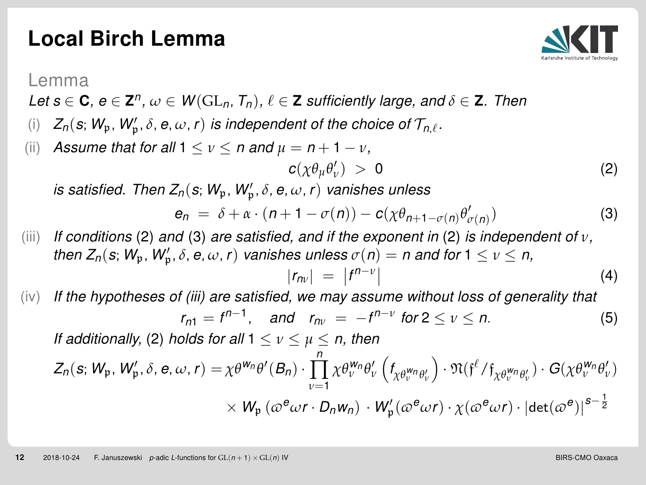<span id="page-12-1"></span>

Lemma

- Let  $s \in \mathbf{C}$ ,  $e \in \mathbf{Z}^n$ ,  $\omega \in W(\operatorname{GL}_n, T_n)$ ,  $\ell \in \mathbf{Z}$  sufficiently large, and  $\delta \in \mathbf{Z}$ . Then
- (i)  $Z_n(s; W_p, W_p', \delta, e, \omega, r)$  is independent of the choice of  $\mathcal{T}_{n,\ell}$ .
- (ii) Assume that for all  $1 \le v \le n$  and  $\mu = n + 1 v$ ,

<span id="page-12-0"></span>
$$
c(\chi \theta_{\mu} \theta'_{\nu}) \; > \; 0 \tag{2}
$$

is satisfied. Then  $Z_n(s;W_\mathfrak{p},W'_\mathfrak{p},\delta,e,\omega,\mathsf{r})$  vanishes unless

$$
e_n = \delta + \alpha \cdot (n+1 - \sigma(n)) - c(\chi \theta_{n+1 - \sigma(n)} \theta'_{\sigma(n)})
$$
\n(3)

- (iii) If conditions [\(2\)](#page-12-0) and [\(3\)](#page-12-1) are satisfied, and if the exponent in (2) is independent of  $v$ , then  $Z_n(s;W_\mathfrak{p},W'_\mathfrak{p},\delta,e,\omega,r)$  vanishes unless  $\sigma(n)=n$  and for  $1\leq \nu\leq n,$  $|r_{nv}| = |f^{n-v}|$ (4)
- $(iv)$  If the hypotheses of (iii) are satisfied, we may assume without loss of generality that  $r_{n1} = f^{n-1}$ , and  $r_{n\nu} = -f^{n-\nu}$  for  $2 \le \nu \le n$ . (5) If additionally, [\(2\)](#page-12-0) holds for all  $1 \le v \le u \le n$ , then  $Z_n$  $\overline{a}$

$$
\begin{aligned} (\textbf{s}; \textit{W}_{\text{p}}, \textit{W}_{\text{p}}', \delta, \textbf{e}, \omega, r) = & \chi \theta^{w_{n}} \theta'(B_{n}) \cdot \prod_{\nu=1}^{n} \chi \theta^{\textit{W}_{n}}_{\nu} \theta'_{\nu} \left( f_{\chi \theta^{\textit{W}_{n}}_{\nu} \theta'_{\nu}} \right) \cdot \mathfrak{N}(\textit{f}^{\ell}/f_{\chi \theta^{\textit{W}_{n}}_{\nu} \theta'_{\nu}}) \cdot G(\chi \theta^{\textit{W}_{n}}_{\nu} \theta'_{\nu}) \\ & \times W_{\textit{p}} \left( \omega^{\textit{e}} \omega r \cdot D_{n} w_{n} \right) \cdot W_{\textit{p}}'(\omega^{\textit{e}} \omega r) \cdot \chi(\omega^{\textit{e}} \omega r) \cdot |\textit{det}(\omega^{\textit{e}})|^{s-\frac{1}{2}} \end{aligned}
$$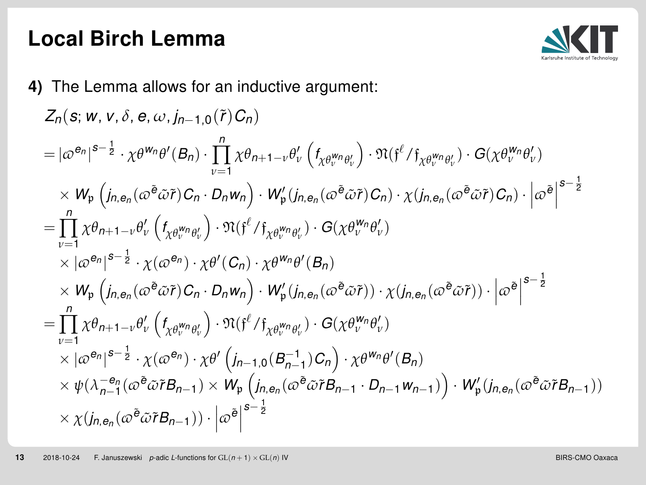

4) The Lemma allows for an inductive argument:

$$
Z_{n}(\mathbf{s}; w, v, \delta, e, \omega, j_{n-1,0}(\tilde{r})C_{n})
$$
\n
$$
= |\varpi^{\theta_{n}}|^{s-\frac{1}{2}} \cdot \chi \theta^{w_{n}} \theta'(B_{n}) \cdot \prod_{v=1}^{n} \chi \theta_{n+1-v} \theta'_{v} (f_{\chi \theta_{v}^{w_{n}} \theta'_{v}}) \cdot \mathfrak{N}(\mathfrak{f}^{\ell}/\mathfrak{f}_{\chi \theta_{v}^{w_{n}} \theta'_{v}}) \cdot G(\chi \theta_{v}^{w_{n}} \theta'_{v})
$$
\n
$$
\times W_{p} (j_{n, e_{n}}(\varpi^{\tilde{\theta}} \tilde{\omega} \tilde{r}) C_{n} \cdot D_{n}w_{n}) \cdot W'_{p} (j_{n, e_{n}}(\varpi^{\tilde{\theta}} \tilde{\omega} \tilde{r}) C_{n}) \cdot \chi (j_{n, e_{n}}(\varpi^{\tilde{\theta}} \tilde{\omega} \tilde{r}) C_{n}) \cdot |\varpi^{\theta}|^{s-\frac{1}{2}}
$$
\n
$$
= \prod_{v=1}^{n} \chi \theta_{n+1-v} \theta'_{v} (f_{\chi \theta_{v}^{w_{n}} \theta'_{v}}) \cdot \mathfrak{N}(\mathfrak{f}^{\ell}/\mathfrak{f}_{\chi \theta_{v}^{w_{n}} \theta'_{v}}) \cdot G(\chi \theta_{v}^{w_{n}} \theta'_{v})
$$
\n
$$
\times |\varpi^{\theta_{n}}|^{s-\frac{1}{2}} \cdot \chi(\varpi^{\theta_{n}}) \cdot \chi \theta'(C_{n}) \cdot \chi \theta^{w_{n}} \theta'(B_{n})
$$
\n
$$
\times W_{p} (j_{n, e_{n}}(\varpi^{\tilde{\theta}} \tilde{\omega} \tilde{r}) C_{n} \cdot D_{n}w_{n}) \cdot W'_{p} (j_{n, e_{n}}(\varpi^{\tilde{\theta}} \tilde{\omega} \tilde{r})) \cdot \chi (j_{n, e_{n}}(\varpi^{\tilde{\theta}} \tilde{\omega} \tilde{r})) \cdot |\varpi^{\tilde{\theta}}|^{s-\frac{1}{2}}
$$
\n
$$
= \prod_{v=1}^{n} \chi \theta_{n+1-v} \theta'_{v} (f_{\chi \theta
$$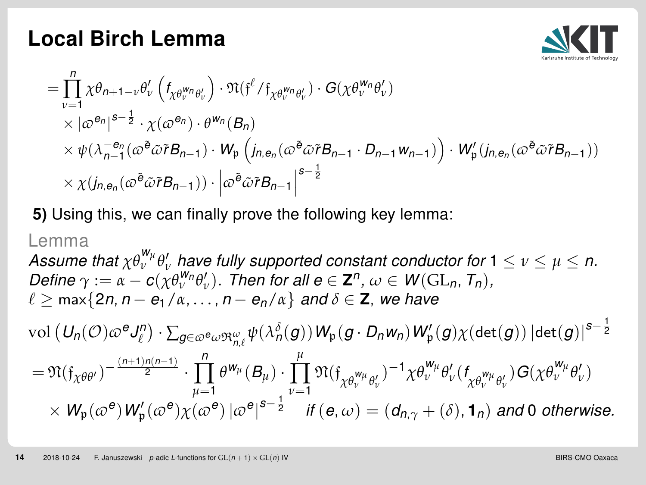

$$
\begin{split} & = \!\prod_{v=1}^{n} \chi \theta_{n+1-v} \theta_v' \left( f_{\chi \theta_v^{w_n} \theta_v'} \right) \cdot \mathfrak{N}(\mathfrak{f}^{\ell} / \mathfrak{f}_{\chi \theta_v^{w_n} \theta_v'} ) \cdot G(\chi \theta_v^{w_n} \theta_v' ) \\ & \times \bigl| \omega^{e_n} \bigr|^{s-\frac{1}{2}} \cdot \chi(\omega^{e_n}) \cdot \theta^{w_n} (B_n) \\ & \times \psi \bigl( \lambda_{n-1}^{-e_n} (\omega^{\tilde{e}} \tilde{\omega} \tilde{r} B_{n-1}) \cdot W_{\mathfrak{p}} \left( j_{n, e_n} (\omega^{\tilde{e}} \tilde{\omega} \tilde{r} B_{n-1} \cdot D_{n-1} w_{n-1} ) \right) \cdot W_{\mathfrak{p}}' (j_{n, e_n} (\omega^{\tilde{e}} \tilde{\omega} \tilde{r} B_{n-1}) ) \\ & \times \chi (j_{n, e_n} (\omega^{\tilde{e}} \tilde{\omega} \tilde{r} B_{n-1}) ) \cdot \left| \omega^{\tilde{e}} \tilde{\omega} \tilde{r} B_{n-1} \right|^{s-\frac{1}{2}} \end{split}
$$

5) Using this, we can finally prove the following key lemma:

Lemma  
\nAssume that 
$$
\chi \theta_{\nu}^{W_{\mu}} \theta_{\nu}'
$$
 have fully supported constant conductor for  $1 \le \nu \le \mu \le n$ .  
\nDefine  $\gamma := \alpha - c(\chi \theta_{\nu}^{W_{n}} \theta_{\nu}')$ . Then for all  $e \in \mathbb{Z}^{n}$ ,  $\omega \in W(\mathrm{GL}_{n}, T_{n})$ ,  
\n $\ell \ge \max\{2n, n - e_{1}/\alpha, ..., n - e_{n}/\alpha\}$  and  $\delta \in \mathbb{Z}$ , we have  
\n $\text{vol}(U_{n}(\mathcal{O}) \varpi^{e} J_{\ell}^{n}) \cdot \sum_{g \in \varpi^{e} \omega \mathfrak{R}_{n,\ell}^{\omega}} \psi(\lambda_{n}^{\delta}(g)) W_{p}(g \cdot D_{n}w_{n}) W_{p}^{\prime}(g) \chi(\det(g)) |\det(g)|^{s-\frac{1}{2}}$   
\n $= \mathfrak{N}(\mathfrak{f}_{\chi \theta \theta'}) - \frac{(n+1)n(n-1)}{2} \cdot \prod_{\mu=1}^{n} \theta^{w_{\mu}}(B_{\mu}) \cdot \prod_{\nu=1}^{\mu} \mathfrak{N}(\mathfrak{f}_{\chi \theta_{\nu}^{W_{\mu}} \theta_{\nu}'})^{-1} \chi \theta_{\nu}^{W_{\mu}} \theta_{\nu}'(\mathfrak{f}_{\chi \theta_{\nu}^{W_{\mu}} \theta_{\nu}')} \mathfrak{G}(\chi \theta_{\nu}^{W_{\mu}} \theta_{\nu}')$   
\n $\times W_{p}(\varpi^{e}) W_{p}^{\prime}(\varpi^{e}) \chi(\varpi^{e}) |\varpi^{e}|^{s-\frac{1}{2}}$  if  $(e, \omega) = (d_{n}, \gamma + (\delta), \mathbf{1}_{n})$  and 0 otherwise.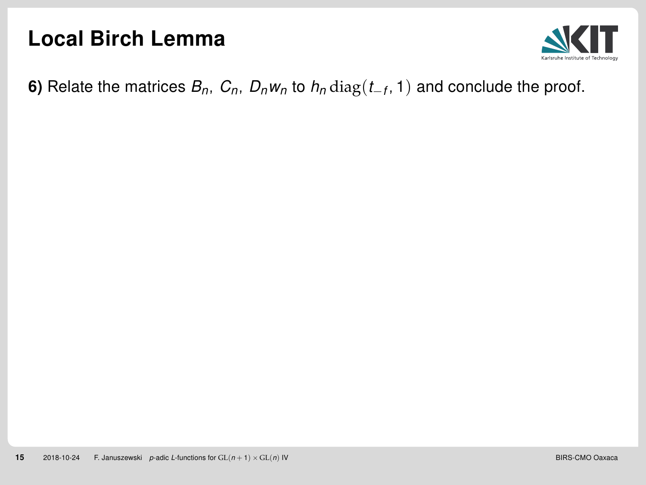

**6)** Relate the matrices  $B_n$ ,  $C_n$ ,  $D_nw_n$  to  $h_n\operatorname{diag}(t_{-f},1)$  and conclude the proof.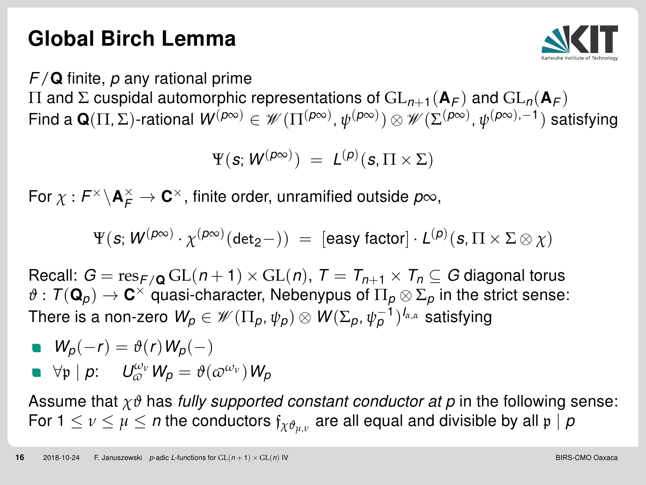# <span id="page-16-0"></span>Global Birch Lemma



 $F/\mathbf{Q}$  finite, p any rational prime

 $\Pi$  and Σ cuspidal automorphic representations of  $GL_{n+1}({\bf A}_F)$  and  $GL_n({\bf A}_F)$ Find a  $\mathbf{Q}(\Pi,\Sigma)$ -rational  $\mathcal{W}^{(\rho\infty)}\in\mathscr{W}(\Pi^{(\rho\infty)},\psi^{(\rho\infty)})\otimes\mathscr{W}(\Sigma^{(\rho\infty)},\psi^{(\rho\infty),-1})$  satisfying

$$
\Psi(\mathbf{s};\mathbf{W}^{(p\infty)}) = L^{(p)}(\mathbf{s},\Pi \times \Sigma)
$$

For  $\chi: F^\times\backslash {\mathbf A}_F^\times \to {\mathbf C}^\times$ , finite order, unramified outside  $\rho\infty$ ,

$$
\Psi(\textbf{\textit{s}}; \, \mathcal{W}^{(\textit{p}\infty)} \cdot \chi^{(\textit{p}\infty)}(\textit{det}_2-)) \ = \ [\textit{easy factor}] \cdot \mathcal{L}^{(\textit{p})}(\textbf{\textit{s}}, \Pi \times \Sigma \otimes \chi)
$$

Recall:  $G = \text{res}_{F/\mathbf{Q}} GL(n+1) \times GL(n), T = T_{n+1} \times T_n \subseteq G$  diagonal torus  $\vartheta:\,\mathcal{T}({\bf Q}_\rho)\to{\bf C}^\times$  quasi-character, Nebenypus of  $\Pi_\rho\otimes\Sigma_\rho$  in the strict sense: There is a non-zero  $\mathsf{W}_\rho \in \mathscr{W}(\Pi_\rho, \psi_\rho) \otimes \mathsf{W}(\Sigma_\rho, \psi_\rho^{-1})^{l_{\alpha, \alpha}}$  satisfying

\n- \n
$$
W_p(-r) = \vartheta(r) W_p(-)
$$
\n
\n- \n
$$
\forall p \mid p: U_{\omega}^{\omega_v} W_p = \vartheta(\omega^{\omega_v}) W_p
$$
\n
\n

Assume that  $\chi\vartheta$  has fully supported constant conductor at p in the following sense: For 1  $\leq$   $\nu$   $\leq$   $\mu$   $\leq$   $n$  the conductors  $\mathfrak{f}_{\chi\vartheta_{\mu,\nu}}$  are all equal and divisible by all  $\mathfrak{p} \mid p$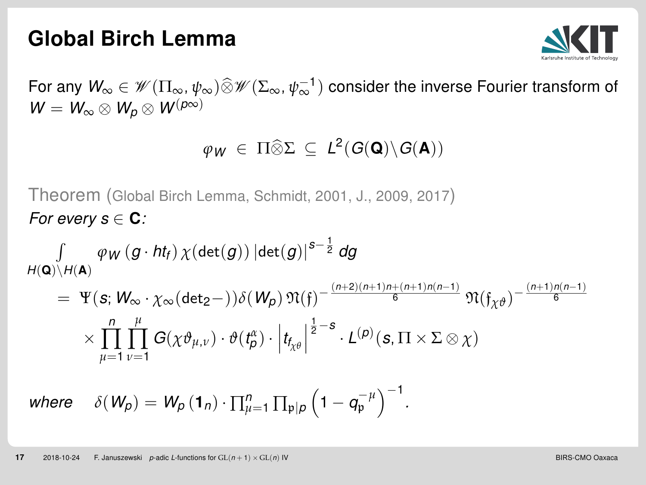#### Global Birch Lemma



For any  $W_\infty \in \mathscr{W}(\Pi_\infty,\psi_\infty) \widehat{\otimes} \mathscr{W}(\Sigma_\infty,\psi_\infty^{-1})$  consider the inverse Fourier transform of  $W = W_{\infty} \otimes W_{p} \otimes W^{(p\infty)}$ 

# $\varphi_W \in \Pi \widehat{\otimes} \Sigma \subseteq L^2(G(\mathbf{Q}) \backslash G(\mathbf{A}))$

Theorem (Global Birch Lemma, Schmidt, 2001, J., 2009, 2017) For every  $s \in \mathbf{C}$ :

$$
\begin{aligned}\n&\int \quad \varphi_W(g \cdot \mathit{ht}_f) \, \chi(\det(g)) \, |\!\det(g)|^{s-\frac{1}{2}} \, dg \\
&= \Psi(s; W_\infty \cdot \chi_\infty(\det_2-)) \delta(W_\rho) \, \mathfrak{N}(\mathfrak{f})^{-\frac{(n+2)(n+1)n+(n+1)n(n-1)}{6}} \, \mathfrak{N}(\mathfrak{f}_{\chi\theta})^{-\frac{(n+1)n(n-1)}{6}} \\
&\times \prod_{\mu=1}^n \prod_{\nu=1}^\mu G(\chi \vartheta_{\mu,\nu}) \cdot \vartheta(\mathfrak{t}_\rho^{\alpha}) \cdot \left|\mathfrak{t}_{\mathfrak{f}_{\chi\theta}}\right|^{\frac{1}{2}-s} \cdot L^{(p)}(s, \Pi \times \Sigma \otimes \chi) \\
&\text{where} \quad \delta(W_\rho) = W_\rho(\mathbf{1}_n) \cdot \prod_{\mu=1}^n \prod_{\mathfrak{p} \mid \rho} \left(1 - q_{\mathfrak{p}}^{-\mu}\right)^{-1}.\n\end{aligned}
$$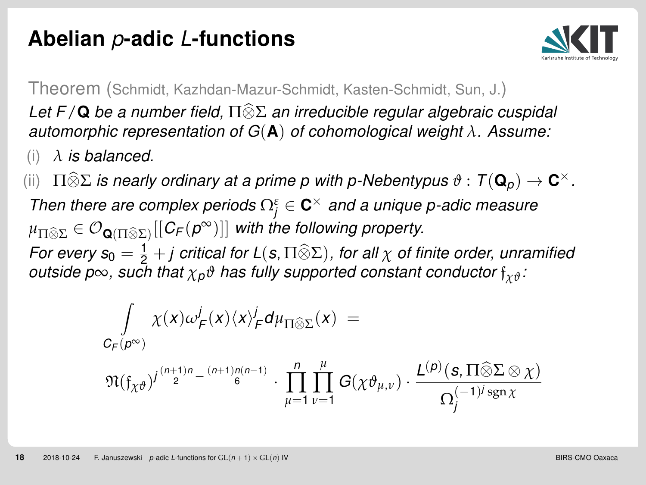# <span id="page-18-0"></span>Abelian p-adic L-functions



Theorem (Schmidt, Kazhdan-Mazur-Schmidt, Kasten-Schmidt, Sun, J.)

Let F/Q be a number field,  $\Pi\widehat{\otimes}\Sigma$  an irreducible regular algebraic cuspidal automorphic representation of G(A) of cohomological weight *λ*. Assume:

(i)  $\lambda$  is balanced.

(ii)  $\Pi \widehat{\otimes} \Sigma$  is nearly ordinary at a prime p with p-Nebentypus  $\vartheta : T(\mathbf{Q}_p) \to \mathbf{C}^{\times}$ . Then there are complex periods  $\Omega_j^\varepsilon\in \mathbf{C}^\times$  and a unique p-adic measure  $\mu_{\Pi\widehat{\otimes}\Sigma}\in \mathcal{O}_{\mathbf{Q}(\Pi\widehat{\otimes}\Sigma)}[[\mathcal{C}_{\mathsf{F}}(\rho^{\infty})]]$  with the following property. For every  $s_0 = \frac{1}{2} + j$  critical for  $L(s, \Pi \widehat{\otimes} \Sigma)$ , for all  $\chi$  of finite order, unramified exitation outside p∞, such that  $χ<sub>p</sub>θ$  has fully supported constant conductor  $f<sub>χθ</sub>$ :

$$
\int_{C_F(\rho^\infty)} \chi(x) \omega_F^j(x) \langle x \rangle_F^j d\mu_{\Pi \otimes \Sigma}(x) = \\ \mathfrak{N}(\mathfrak{f}_{\chi \vartheta})^{j \frac{(n+1)n}{2} - \frac{(n+1)n(n-1)}{6}} \cdot \prod_{\mu=1}^n \prod_{\nu=1}^\mu G(\chi \vartheta_{\mu,\nu}) \cdot \frac{L^{(p)}(s, \Pi \hat{\otimes} \Sigma \otimes \chi)}{\Omega_j^{(-1)^j \operatorname{sgn} \chi}}
$$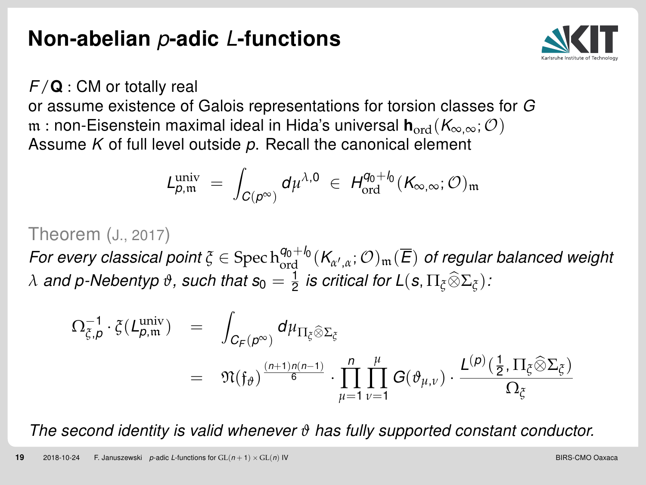## <span id="page-19-0"></span>Non-abelian p-adic L-functions



 $F/Q$  : CM or totally real

or assume existence of Galois representations for torsion classes for G m : non-Eisenstein maximal ideal in Hida's universal  $h_{ord}(K_{\infty,\infty};\mathcal{O})$ Assume  $K$  of full level outside  $p$ . Recall the canonical element

$$
L_{\rho,m}^{\text{univ}} = \int_{C(\rho^{\infty})} d\mu^{\lambda,0} \in H_{\text{ord}}^{q_0 + l_0}(K_{\infty,\infty}; \mathcal{O})_{m}
$$

#### Theorem (J., 2017)

For every classical point  $\zeta\in \mathrm{Spec}\, \mathrm{h}^{q_0+\mathfrak{l}_0}_{\mathrm{ord}}(K_{\alpha',\alpha};\mathcal{O})_{\mathfrak{m}}(\overline{E})$  of regular balanced weight  $\lambda$  and p-Nebentyp  $\vartheta$ , such that  $s_0=\frac{1}{2}$  is critical for L(s,  $\Pi_\xi\widehat{\otimes} \Sigma_\xi$ ):

$$
\begin{array}{rcl} \Omega_{\xi,\rho}^{-1}\cdot \xi(L_{\rho,\mathfrak{m}}^{\text{univ}}) & = & \displaystyle \int_{C_{F}(\rho^{\infty})} d\mu_{\Pi_{\xi}\widehat{\otimes}\Sigma_{\xi}} \\ \\ & = & \displaystyle \mathfrak{N}(\mathfrak{f}_{\vartheta})^{\frac{(n+1)n(n-1)}{6}}\cdot \prod_{\mu=1}^{n}\prod_{\nu=1}^{\mu}G(\vartheta_{\mu,\nu})\cdot \frac{L^{(\rho)}\left(\frac{1}{2},\Pi_{\xi}\widehat{\otimes}\Sigma_{\xi}\right)}{\Omega_{\xi}} \end{array}
$$

The second identity is valid whenever *ϑ* has fully supported constant conductor.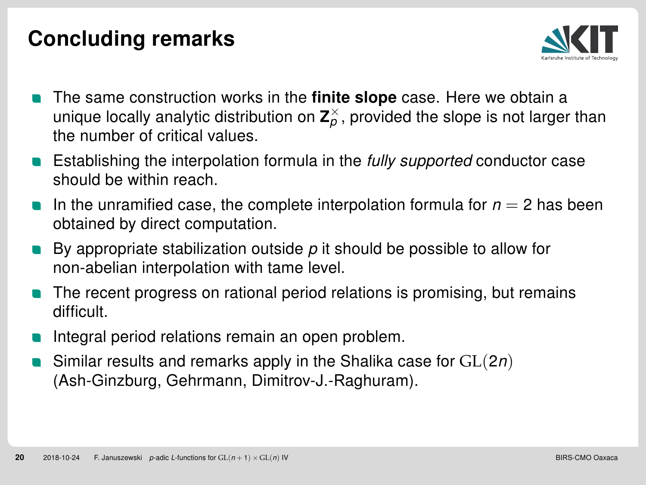# <span id="page-20-0"></span>Concluding remarks



- The same construction works in the **finite slope** case. Here we obtain a unique locally analytic distribution on  $\textbf{Z}_\rho^\times$ , provided the slope is not larger than the number of critical values.
- Establishing the interpolation formula in the fully supported conductor case should be within reach.
- In the unramified case, the complete interpolation formula for  $n = 2$  has been obtained by direct computation.
- By appropriate stabilization outside  $p$  it should be possible to allow for non-abelian interpolation with tame level.
- The recent progress on rational period relations is promising, but remains difficult.
- Integral period relations remain an open problem.
- Similar results and remarks apply in the Shalika case for  $GL(2n)$ (Ash-Ginzburg, Gehrmann, Dimitrov-J.-Raghuram).